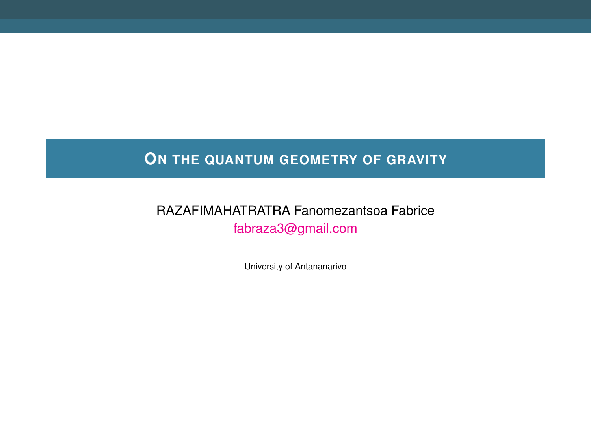# **ON THE QUANTUM GEOMETRY OF GRAVITY**

## RAZAFIMAHATRATRA Fanomezantsoa Fabrice [fabraza3@gmail.com](mailto:fabraza3@gmail.com)

University of Antananarivo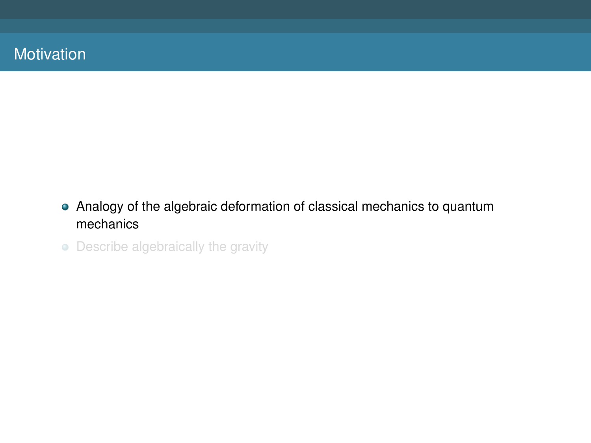- Analogy of the algebraic deformation of classical mechanics to quantum mechanics
- Describe algebraically the gravity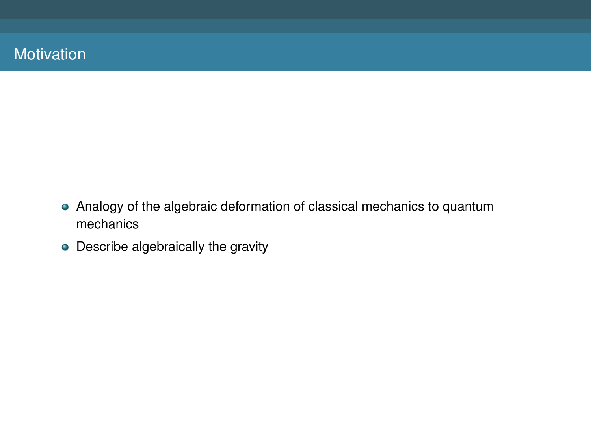- Analogy of the algebraic deformation of classical mechanics to quantum mechanics
- Describe algebraically the gravity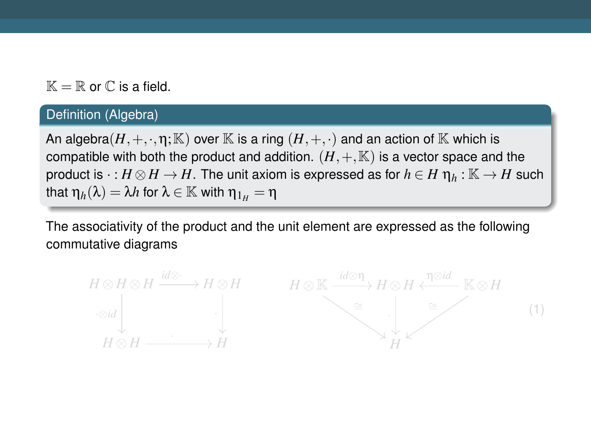$\mathbb{K} = \mathbb{R}$  or  $\mathbb{C}$  is a field.

#### Definition (Algebra)

An algebra $(H, +, \cdot, \eta; \mathbb{K})$  over  $\mathbb{K}$  is a ring  $(H, +, \cdot)$  and an action of  $\mathbb{K}$  which is compatible with both the product and addition.  $(H, +, \mathbb{K})$  is a vector space and the product is  $\cdot : H \otimes H \to H$ . The unit axiom is expressed as for  $h \in H \eta_h : \mathbb{K} \to H$  such that  $\eta_h(\lambda) = \lambda h$  for  $\lambda \in \mathbb{K}$  with  $\eta_{1\mu} = \eta$ 

The associativity of the product and the unit element are expressed as the following commutative diagrams

<span id="page-3-0"></span>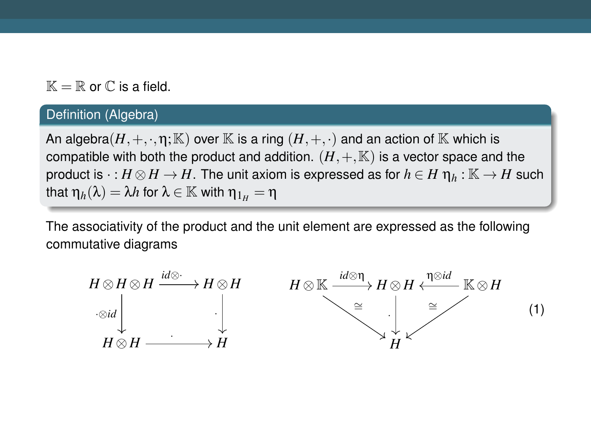$\mathbb{K} = \mathbb{R}$  or  $\mathbb{C}$  is a field.

#### Definition (Algebra)

An algebra $(H, +, \cdot, \eta; \mathbb{K})$  over  $\mathbb{K}$  is a ring  $(H, +, \cdot)$  and an action of  $\mathbb{K}$  which is compatible with both the product and addition.  $(H, +, \mathbb{K})$  is a vector space and the product is  $\cdot : H \otimes H \to H$ . The unit axiom is expressed as for  $h \in H \eta_h : \mathbb{K} \to H$  such that  $\eta_h(\lambda) = \lambda h$  for  $\lambda \in \mathbb{K}$  with  $\eta_{1\mu} = \eta$ 

The associativity of the product and the unit element are expressed as the following commutative diagrams

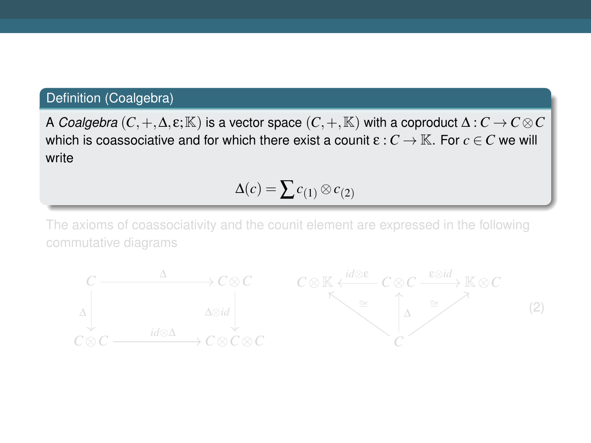### Definition (Coalgebra)

A *Coalgebra*  $(C, +, \Delta, \varepsilon; \mathbb{K})$  is a vector space  $(C, +, \mathbb{K})$  with a coproduct  $\Delta: C \to C \otimes C$ which is coassociative and for which there exist a counit  $\varepsilon : C \to \mathbb{K}$ . For  $c \in C$  we will write

 $Δ(c) = ∑c<sub>(1)</sub> ⊗ c<sub>(2)</sub>$ 

The axioms of coassociativity and the counit element are expressed in the following

<span id="page-5-0"></span>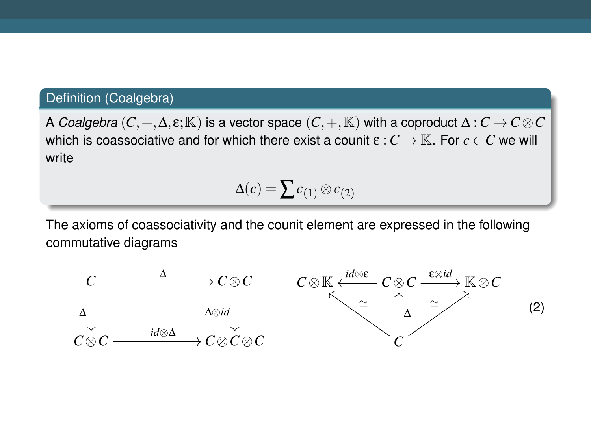### Definition (Coalgebra)

A *Coalgebra*  $(C, +, \Delta, \varepsilon; \mathbb{K})$  is a vector space  $(C, +, \mathbb{K})$  with a coproduct  $\Delta: C \to C \otimes C$ which is coassociative and for which there exist a counit  $\varepsilon : C \to \mathbb{K}$ . For  $c \in C$  we will write

$$
\Delta(c) = \sum c_{(1)} \otimes c_{(2)}
$$

The axioms of coassociativity and the counit element are expressed in the following commutative diagrams

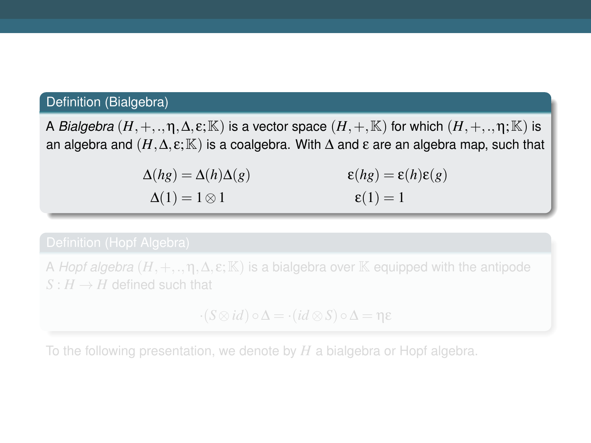## Definition (Bialgebra)

A *Bialgebra*  $(H, +, \ldots, n, \Delta, \varepsilon; \mathbb{K})$  is a vector space  $(H, +, \mathbb{K})$  for which  $(H, +, \ldots, n; \mathbb{K})$  is an algebra and  $(H, \Delta, \varepsilon; \mathbb{K})$  is a coalgebra. With  $\Delta$  and  $\varepsilon$  are an algebra map, such that

> $\Delta(hg) = \Delta(h)\Delta(g)$  $\Delta(1) = 1 \otimes 1$ ε(*hg*) = ε(*h*)ε(*g*)  $\varepsilon(1) = 1$

A *Hopf algebra*  $(H, +, \ldots, n, \Delta, \epsilon; \mathbb{K})$  is a bialgebra over K equipped with the antipode  $S: H \rightarrow H$  defined such that

 $\cdot$ ( $S \otimes id$ )  $\circ \Delta = \cdot (id \otimes S) \circ \Delta = \eta \varepsilon$ 

To the following presentation, we denote by *H* a bialgebra or Hopf algebra.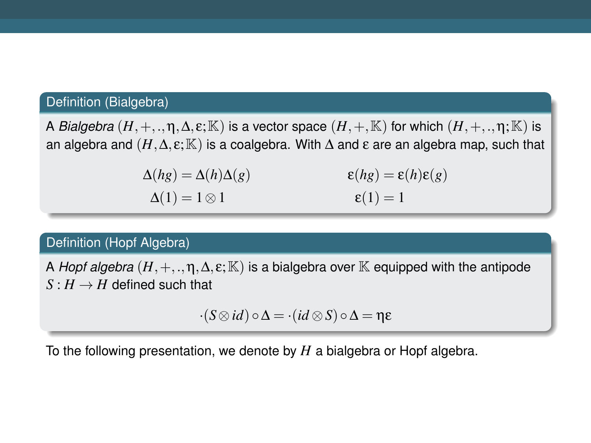## Definition (Bialgebra)

A *Bialgebra*  $(H, +, \ldots, n, \Delta, \varepsilon; \mathbb{K})$  is a vector space  $(H, +, \mathbb{K})$  for which  $(H, +, \ldots, n; \mathbb{K})$  is an algebra and  $(H, \Delta, \varepsilon; \mathbb{K})$  is a coalgebra. With  $\Delta$  and  $\varepsilon$  are an algebra map, such that

| $\Delta(hg) = \Delta(h)\Delta(g)$ | $\epsilon(hg) = \epsilon(h)\epsilon(g)$ |
|-----------------------------------|-----------------------------------------|
| $\Delta(1) = 1 \otimes 1$         | $\epsilon(1)=1$                         |

#### Definition (Hopf Algebra)

A *Hopf algebra*  $(H, +, \ldots, n, \Delta, \varepsilon; \mathbb{K})$  is a bialgebra over  $\mathbb{K}$  equipped with the antipode  $S : H \to H$  defined such that

 $\cdot$ (*S*  $\otimes$ *id*)  $\circ$   $\Delta$  =  $\cdot$ (*id*  $\otimes$  *S*)  $\circ$   $\Delta$  =  $\eta$ ε

To the following presentation, we denote by *H* a bialgebra or Hopf algebra.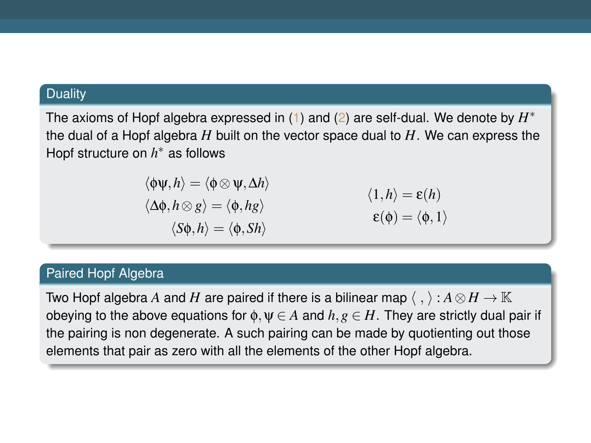#### **Duality**

The axioms of Hopf algebra expressed in [\(1\)](#page-3-0) and [\(2\)](#page-5-0) are self-dual. We denote by  $H^*$ the dual of a Hopf algebra *H* built on the vector space dual to *H*. We can express the Hopf structure on *h* <sup>∗</sup> as follows

$$
\langle \phi \psi, h \rangle = \langle \phi \otimes \psi, \Delta h \rangle
$$
  

$$
\langle \Delta \phi, h \otimes g \rangle = \langle \phi, hg \rangle
$$
  

$$
\langle \delta \phi, h \rangle = \langle \phi, Sh \rangle
$$
  

$$
\langle \phi \rangle = \langle \phi, h \rangle
$$
  

$$
\langle \phi \rangle = \langle \phi, \Phi \rangle
$$

#### Paired Hopf Algebra

Two Hopf algebra *A* and  $H$  are paired if there is a bilinear map  $\langle \ , \ \rangle : A \otimes H \to \mathbb{K}$ obeying to the above equations for  $\phi, \psi \in A$  and  $h, g \in H$ . They are strictly dual pair if the pairing is non degenerate. A such pairing can be made by quotienting out those elements that pair as zero with all the elements of the other Hopf algebra.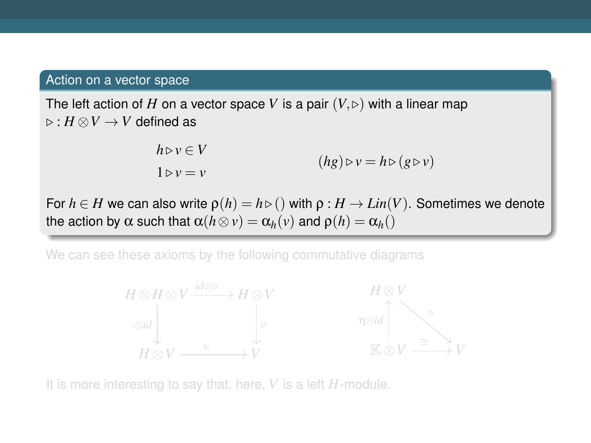#### Action on a vector space

The left action of H on a vector space V is a pair  $(V, \triangleright)$  with a linear map  $\triangleright$  : *H* ⊗ *V* → *V* defined as

$$
h \triangleright v \in V
$$
  
 
$$
1 \triangleright v = v
$$
  
  $(hg) \triangleright v = h \triangleright (g \triangleright v)$ 

For  $h \in H$  we can also write  $\rho(h) = h \triangleright ()$  with  $\rho : H \to Lin(V)$ . Sometimes we denote the action by  $\alpha$  such that  $\alpha(h \otimes v) = \alpha_h(v)$  and  $\rho(h) = \alpha_h(v)$ 

We can see these axioms by the following commutative diagrams



It is more interesting to say that, here, *V* is a left *H*-module.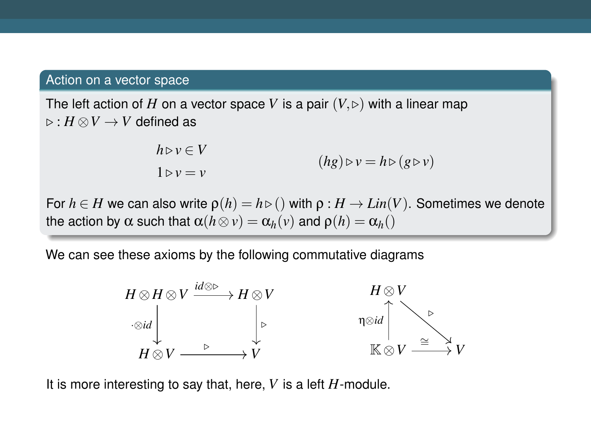#### Action on a vector space

The left action of H on a vector space V is a pair  $(V, \triangleright)$  with a linear map  $\triangleright$  : *H* ⊗ *V* → *V* defined as

$$
h \triangleright v \in V
$$
  
 
$$
1 \triangleright v = v
$$
  
  $(hg) \triangleright v = h \triangleright (g \triangleright v)$ 

For  $h \in H$  we can also write  $\rho(h) = h \triangleright ()$  with  $\rho : H \to Lin(V)$ . Sometimes we denote the action by  $\alpha$  such that  $\alpha(h \otimes v) = \alpha_h(v)$  and  $\rho(h) = \alpha_h(v)$ 

We can see these axioms by the following commutative diagrams



It is more interesting to say that, here, *V* is a left *H*-module.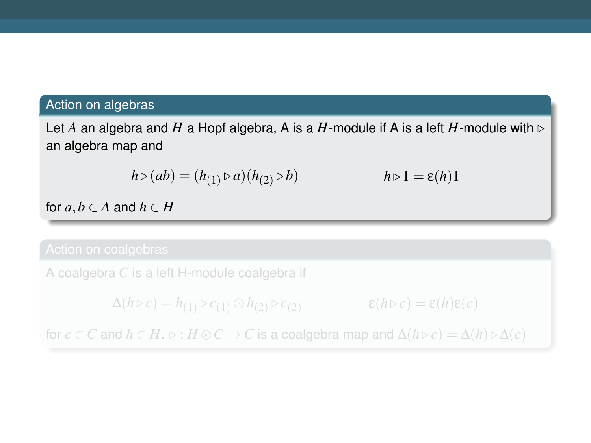#### Action on algebras

Let A an algebra and H a Hopf algebra, A is a H-module if A is a left H-module with  $\triangleright$ an algebra map and

$$
h \triangleright (ab) = (h_{(1)} \triangleright a)(h_{(2)} \triangleright b) \qquad h \triangleright 1 = \varepsilon(h)1
$$

for  $a, b \in A$  and  $h \in H$ 

A coalgebra *C* is a left H-module coalgebra if

$$
\Delta(h \triangleright c) = h_{(1)} \triangleright c_{(1)} \otimes h_{(2)} \triangleright c_{(2)} \qquad \qquad \varepsilon(h \triangleright c) = \varepsilon(h)\varepsilon(c)
$$

for *c* ∈ *C* and  $h \in H$ .  $\triangleright : H \otimes C \to C$  is a coalgebra map and  $\Delta(h \triangleright c) = \Delta(h) \triangleright \Delta(c)$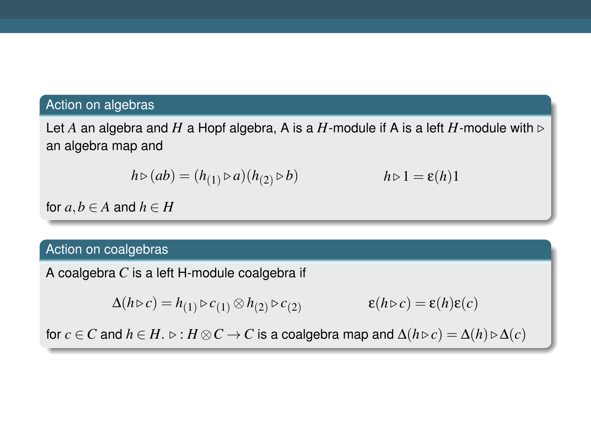#### Action on algebras

Let A an algebra and H a Hopf algebra, A is a H-module if A is a left H-module with  $\triangleright$ an algebra map and

$$
h \triangleright (ab) = (h_{(1)} \triangleright a)(h_{(2)} \triangleright b) \qquad h \triangleright 1 = \varepsilon(h)1
$$

for  $a, b \in A$  and  $h \in H$ 

#### Action on coalgebras

A coalgebra *C* is a left H-module coalgebra if

$$
\Delta(h \triangleright c) = h_{(1)} \triangleright c_{(1)} \otimes h_{(2)} \triangleright c_{(2)} \qquad \qquad \varepsilon(h \triangleright c) = \varepsilon(h)\varepsilon(c)
$$

for *c* ∈ *C* and  $h \in H$ .  $\triangleright : H \otimes C \to C$  is a coalgebra map and  $\Delta(h \triangleright c) = \Delta(h) \triangleright \Delta(c)$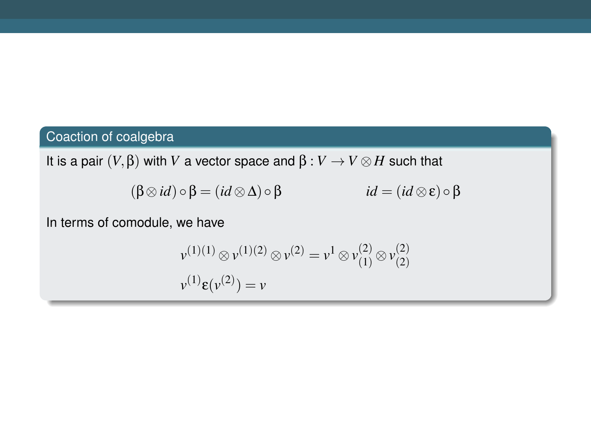# Coaction of coalgebra

It is a pair (*V*,β) with *V* a vector space and β : *V* → *V* ⊗*H* such that

$$
(\beta \otimes id) \circ \beta = (id \otimes \Delta) \circ \beta \qquad id = (id \otimes \varepsilon) \circ \beta
$$

In terms of comodule, we have

$$
\nu^{(1)(1)} \otimes \nu^{(1)(2)} \otimes \nu^{(2)} = \nu^1 \otimes \nu^{(2)}_{(1)} \otimes \nu^{(2)}_{(2)}
$$
  

$$
\nu^{(1)} \varepsilon(\nu^{(2)}) = \nu
$$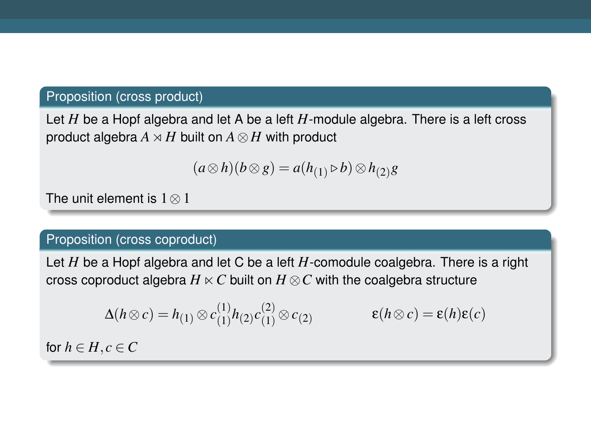#### Proposition (cross product)

Let *H* be a Hopf algebra and let A be a left *H*-module algebra. There is a left cross product algebra  $A \rtimes H$  built on  $A \otimes H$  with product

$$
(a\otimes h)(b\otimes g) = a(h_{(1)} \triangleright b) \otimes h_{(2)}g
$$

The unit element is 1⊗1

#### Proposition (cross coproduct)

Let *H* be a Hopf algebra and let C be a left *H*-comodule coalgebra. There is a right cross coproduct algebra  $H \ltimes C$  built on  $H \otimes C$  with the coalgebra structure

$$
\Delta(h \otimes c) = h_{(1)} \otimes c_{(1)}^{(1)} h_{(2)} c_{(1)}^{(2)} \otimes c_{(2)} \qquad \qquad \varepsilon(h \otimes c) = \varepsilon(h)\varepsilon(c)
$$

for  $h \in H, c \in C$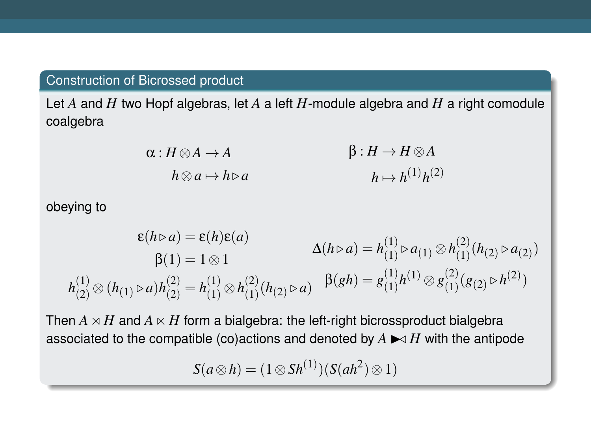#### Construction of Bicrossed product

Let *A* and *H* two Hopf algebras, let *A* a left *H*-module algebra and *H* a right comodule coalgebra

$$
\alpha: H \otimes A \to A \qquad \beta: H \to H \otimes A
$$
  
\n
$$
h \otimes a \mapsto h \triangleright a \qquad \beta: H \to H \otimes A
$$
  
\n
$$
h \mapsto h^{(1)}h^{(2)}
$$

obeying to

$$
\varepsilon(h \triangleright a) = \varepsilon(h)\varepsilon(a)
$$
  
\n
$$
\beta(1) = 1 \otimes 1
$$
  
\n
$$
h_{(2)}^{(1)} \otimes (h_{(1)} \triangleright a)h_{(2)}^{(2)} = h_{(1)}^{(1)} \otimes h_{(1)}^{(2)}(h_{(2)} \triangleright a)
$$
  
\n
$$
\beta(2h) = \beta(h_{(1)}^{(1)} \triangleright a_{(1)} \otimes h_{(2)}^{(2)}(h_{(2)} \triangleright a)
$$
  
\n
$$
\beta(3h) = \beta(h_{(1)}^{(1)} \triangleright a_{(1)}^{(2)}(h_{(2)} \triangleright h_{(2)}^{(2)})
$$

Then  $A \rtimes H$  and  $A \ltimes H$  form a bialgebra: the left-right bicrossproduct bialgebra associated to the compatible (co)actions and denoted by  $A \blacktriangleright A \blacktriangleright A$  with the antipode

*S*(*a*⊗*h*) = (1⊗*Sh*<sup>(1)</sup>)(*S*(*ah*<sup>2</sup>)⊗1)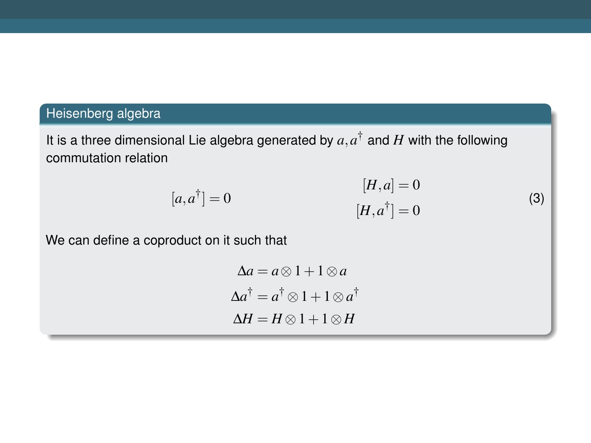## Heisenberg algebra

It is a three dimensional Lie algebra generated by  $a, a^{\dagger}$  and  $H$  with the following commutation relation

<span id="page-17-0"></span>
$$
[H, a] = 0
$$

$$
[H, a] = 0
$$

$$
[H, a^{\dagger}] = 0
$$
 (3)

We can define a coproduct on it such that

$$
\Delta a = a \otimes 1 + 1 \otimes a
$$
  

$$
\Delta a^{\dagger} = a^{\dagger} \otimes 1 + 1 \otimes a^{\dagger}
$$
  

$$
\Delta H = H \otimes 1 + 1 \otimes H
$$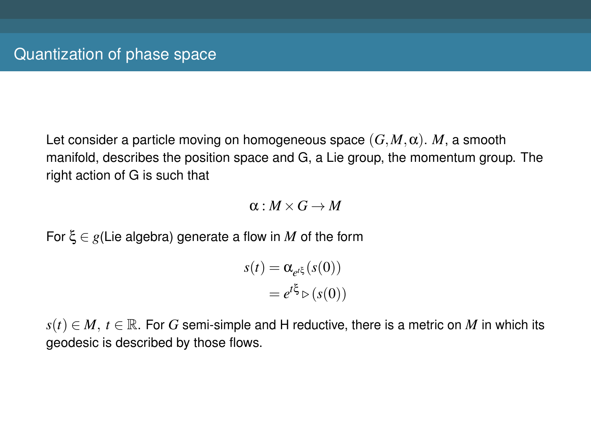Let consider a particle moving on homogeneous space  $(G, M, \alpha)$ . *M*, a smooth manifold, describes the position space and G, a Lie group, the momentum group. The right action of G is such that

 $\alpha \cdot M \times G \rightarrow M$ 

For ξ ∈ *g*(Lie algebra) generate a flow in *M* of the form

$$
s(t) = \alpha_{e^{t\xi}}(s(0))
$$

$$
= e^{t\xi} \triangleright (s(0))
$$

 $s(t) \in M$ ,  $t \in \mathbb{R}$ . For *G* semi-simple and H reductive, there is a metric on *M* in which its geodesic is described by those flows.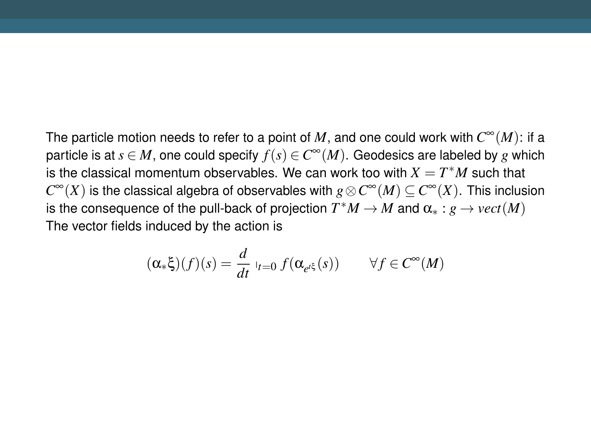The particle motion needs to refer to a point of  $M$ , and one could work with  $C^\infty(M)$ : if a particle is at  $s \in M$ , one could specify  $f(s) \in C^\infty(M).$  Geodesics are labeled by  $g$  which is the classical momentum observables. We can work too with  $X = T^*M$  such that  $C^{\infty}(X)$  is the classical algebra of observables with  $g \otimes C^{\infty}(M) \subseteq C^{\infty}(X)$ . This inclusion is the consequence of the pull-back of projection  $T^*M\to M$  and  $\alpha_*:g\to vect(M)$ The vector fields induced by the action is

$$
(\alpha_*\xi)(f)(s) = \frac{d}{dt} \, \big|_{t=0} \, f(\alpha_{e^{t\xi}}(s)) \qquad \forall f \in C^\infty(M)
$$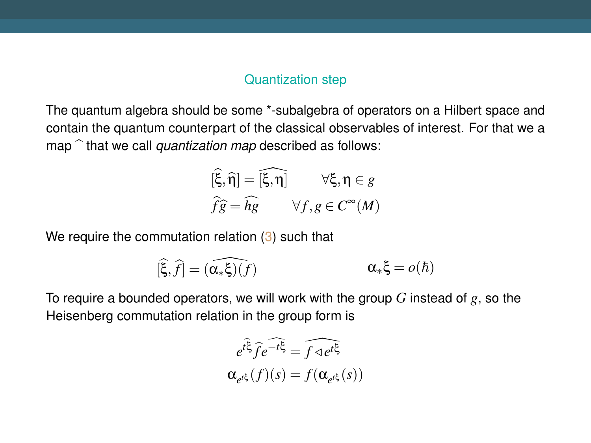#### Quantization step

The quantum algebra should be some \*-subalgebra of operators on a Hilbert space and contain the quantum counterpart of the classical observables of interest. For that we a map  $\hat{}$  that we call *quantization map* described as follows:

$$
\begin{aligned}\n[\widehat{\xi}, \widehat{\eta}] &= [\widehat{\xi}, \eta] & \forall \xi, \eta \in g \\
\widehat{fg} &= \widehat{hg} & \forall f, g \in C^{\infty}(M)\n\end{aligned}
$$

We require the commutation relation [\(3\)](#page-17-0) such that

$$
[\widehat{\xi},\widehat{f}]=(\widehat{\alpha_*\xi})(f)\qquad \qquad \alpha_*\xi=o(\hbar)
$$

To require a bounded operators, we will work with the group *G* instead of *g*, so the Heisenberg commutation relation in the group form is

$$
e^{t\hat{\xi}}\hat{f}e^{-t\xi} = \hat{f} \triangleleft e^{t\xi}
$$

$$
\alpha_{e^{t\xi}}(f)(s) = f(\alpha_{e^{t\xi}}(s))
$$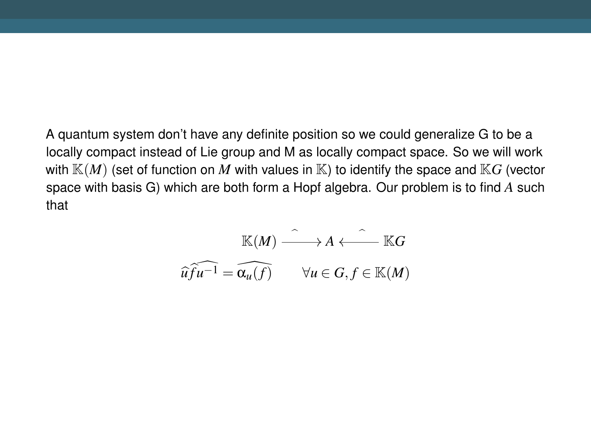A quantum system don't have any definite position so we could generalize G to be a locally compact instead of Lie group and M as locally compact space. So we will work with  $\mathbb{K}(M)$  (set of function on M with values in  $\mathbb{K}$ ) to identify the space and  $\mathbb{K}G$  (vector space with basis G) which are both form a Hopf algebra. Our problem is to find *A* such that

$$
\widehat{u} \widehat{fu^{-1}} = \widehat{\alpha_u(f)} \qquad \forall u \in G, f \in \mathbb{K}(M)
$$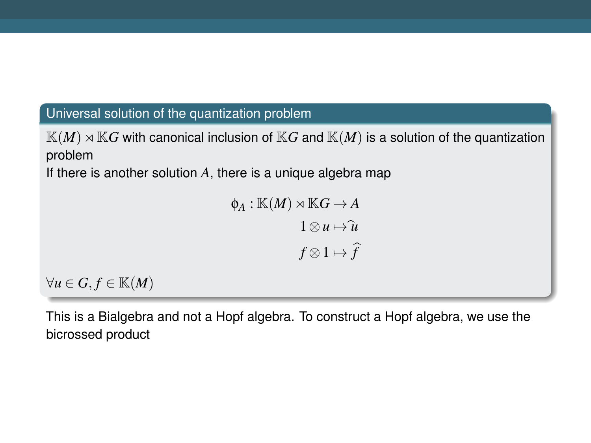#### Universal solution of the quantization problem

 $K(M) \rtimes K$ *G* with canonical inclusion of  $K$ *G* and  $K(M)$  is a solution of the quantization problem

If there is another solution *A*, there is a unique algebra map

$$
\phi_A: \mathbb{K}(M) \rtimes \mathbb{K}G \to A
$$

$$
1 \otimes u \mapsto \hat{u}
$$

$$
f \otimes 1 \mapsto \hat{f}
$$

 $∀u ∈ G, f ∈ \mathbb{K}(M)$ 

This is a Bialgebra and not a Hopf algebra. To construct a Hopf algebra, we use the bicrossed product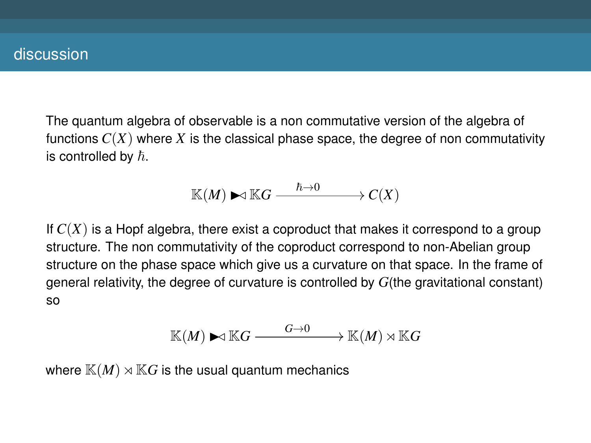The quantum algebra of observable is a non commutative version of the algebra of functions  $C(X)$  where X is the classical phase space, the degree of non commutativity is controlled by  $\hbar$ .

$$
\mathbb{K}(M) \blacktriangleright\!\!\!\triangleleft \mathbb{K} G \stackrel{\hbar\to 0}{-\!\!\!-\!\!\!-\!\!\!-\!\!\!-\!\!\!-\!\!\!\longrightarrow} C(X)
$$

If  $C(X)$  is a Hopf algebra, there exist a coproduct that makes it correspond to a group structure. The non commutativity of the coproduct correspond to non-Abelian group structure on the phase space which give us a curvature on that space. In the frame of general relativity, the degree of curvature is controlled by *G*(the gravitational constant) so

$$
\mathbb{K}(M) \blacktriangleright \triangleleft \mathbb{K}G \stackrel{G\to 0}{\longrightarrow} \mathbb{K}(M) \rtimes \mathbb{K}G
$$

where  $\mathbb{K}(M) \rtimes \mathbb{K}G$  is the usual quantum mechanics